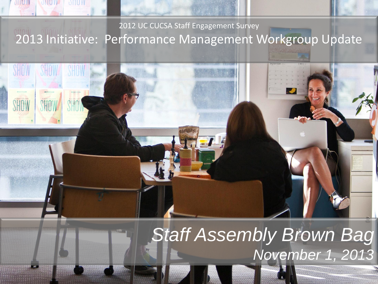## 2012 UC CUCSA Staff Engagement Survey 2013 Initiative: Performance Management Workgroup Update

**DELLETTE** 

 $-$ 

**ONDIY** 

# *Staff Assembly Brown Bag November 1, 2013*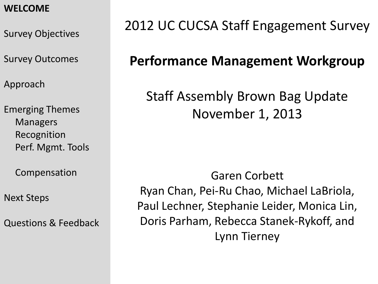#### **WELCOME**

Survey Objectives

Survey Outcomes

Approach

Emerging Themes Managers Recognition Perf. Mgmt. Tools

Compensation

Next Steps

Questions & Feedback

# 2012 UC CUCSA Staff Engagement Survey

# **Performance Management Workgroup**

# Staff Assembly Brown Bag Update November 1, 2013

Garen Corbett Ryan Chan, Pei-Ru Chao, Michael LaBriola, Paul Lechner, Stephanie Leider, Monica Lin, Doris Parham, Rebecca Stanek-Rykoff, and Lynn Tierney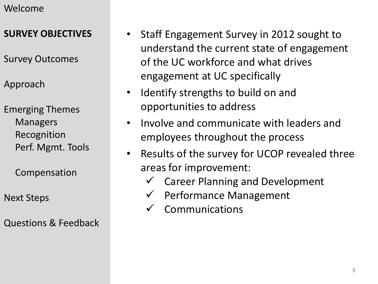#### **SURVEY OBJECTIVES**

- Survey Outcomes
- Approach

Emerging Themes Managers Recognition Perf. Mgmt. Tools

Compensation

Next Steps

Questions & Feedback

- Staff Engagement Survey in 2012 sought to understand the current state of engagement of the UC workforce and what drives engagement at UC specifically
- Identify strengths to build on and opportunities to address
- Involve and communicate with leaders and employees throughout the process
- Results of the survey for UCOP revealed three areas for improvement:
	- Career Planning and Development
	- $\checkmark$  Performance Management
	- Communications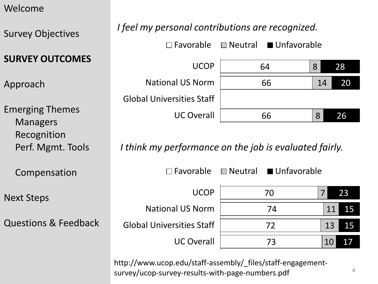Survey Objectives

#### **SURVEY OUTCOMES**

Approach

Emerging Themes Managers Recognition Perf. Mgmt. Tools

Compensation

Next Steps

Questions & Feedback

#### *I feel my personal contributions are recognized.*

64 8 28 UCOP  $\Box$  Favorable  $\Box$  Neutral  $\Box$  Unfavorable

National US Norm Global Universities Staff UC Overall

*I think my performance on the job is evaluated fairly.* 

http://www.ucop.edu/staff-assembly/\_files/staff-engagementsurvey/ucop-survey-results-with-page-numbers.pdf

70 74 72 73 7 11 13 10 23 15 15 17 UCOP National US Norm Global Universities Staff UC Overall  $\Box$  Favorable  $\Box$  Neutral  $\Box$  Unfavorable

66

14

20

26

8

66

4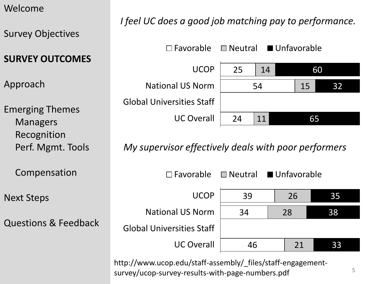Survey Objectives

**SURVEY OUTCOMES** 

Approach

Emerging Themes Managers Recognition Perf. Mgmt. Tools

Compensation

Next Steps

Questions & Feedback

## *I feel UC does a good job matching pay to performance.*



*My supervisor effectively deals with poor performers* 



http://www.ucop.edu/staff-assembly/\_files/staff-engagementsurvey/ucop-survey-results-with-page-numbers.pdf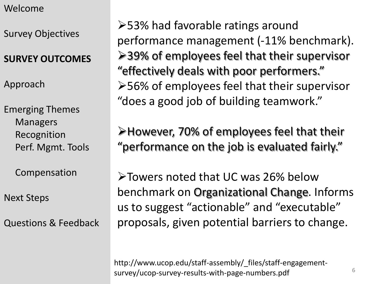Survey Objectives

#### **SURVEY OUTCOMES**

Approach

Emerging Themes Managers Recognition Perf. Mgmt. Tools

Compensation

Next Steps

Questions & Feedback

53% had favorable ratings around performance management (-11% benchmark). **≻39% of employees feel that their supervisor** "effectively deals with poor performers." 56% of employees feel that their supervisor "does a good job of building teamwork."

However, 70% of employees feel that their "performance on the job is evaluated fairly."

Towers noted that UC was 26% below benchmark on Organizational Change. Informs us to suggest "actionable" and "executable" proposals, given potential barriers to change.

http://www.ucop.edu/staff-assembly/\_files/staff-engagementsurvey/ucop-survey-results-with-page-numbers.pdf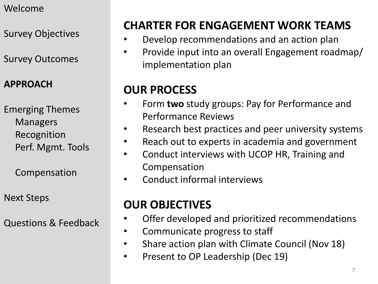Survey Objectives

Survey Outcomes

#### **APPROACH**

Emerging Themes Managers Recognition Perf. Mgmt. Tools

Compensation

Next Steps

Questions & Feedback

# **CHARTER FOR ENGAGEMENT WORK TEAMS**

- Develop recommendations and an action plan
- Provide input into an overall Engagement roadmap/ implementation plan

## **OUR PROCESS**

- Form **two** study groups: Pay for Performance and Performance Reviews
- Research best practices and peer university systems
- Reach out to experts in academia and government
- Conduct interviews with UCOP HR, Training and Compensation
- Conduct informal interviews

# **OUR OBJECTIVES**

- Offer developed and prioritized recommendations
- Communicate progress to staff
- Share action plan with Climate Council (Nov 18)
- Present to OP Leadership (Dec 19)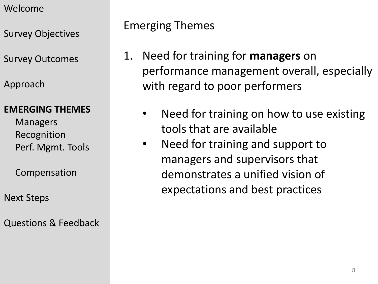Survey Objectives

Survey Outcomes

Approach

#### **EMERGING THEMES**

Managers Recognition Perf. Mgmt. Tools

Compensation

Next Steps

Questions & Feedback

## Emerging Themes

- 1. Need for training for **managers** on performance management overall, especially with regard to poor performers
	- Need for training on how to use existing tools that are available
	- Need for training and support to managers and supervisors that demonstrates a unified vision of expectations and best practices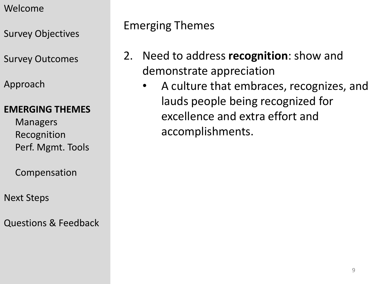Survey Objectives

Survey Outcomes

Approach

#### **EMERGING THEMES**

Managers Recognition Perf. Mgmt. Tools

Compensation

Next Steps

Questions & Feedback

Emerging Themes

- 2. Need to address **recognition**: show and demonstrate appreciation
	- A culture that embraces, recognizes, and lauds people being recognized for excellence and extra effort and accomplishments.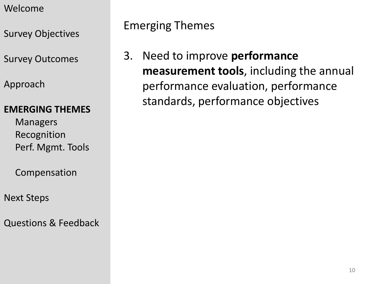- Welcome
- Survey Objectives
- Survey Outcomes
- Approach

#### **EMERGING THEMES**

- Managers Recognition Perf. Mgmt. Tools
- Compensation
- Next Steps
- Questions & Feedback

## Emerging Themes

3. Need to improve **performance measurement tools**, including the annual performance evaluation, performance standards, performance objectives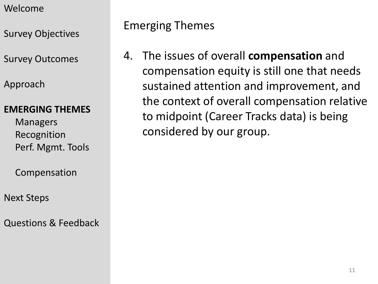- Welcome
- Survey Objectives
- Survey Outcomes
- Approach

#### **EMERGING THEMES**

- Managers Recognition Perf. Mgmt. Tools
- Compensation
- Next Steps
- Questions & Feedback

## Emerging Themes

4. The issues of overall **compensation** and compensation equity is still one that needs sustained attention and improvement, and the context of overall compensation relative to midpoint (Career Tracks data) is being considered by our group.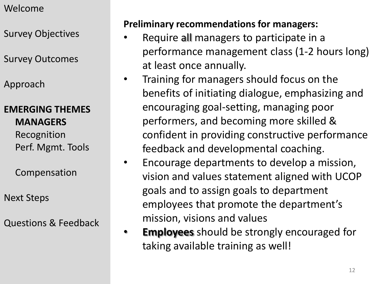Survey Objectives

Survey Outcomes

Approach

#### **EMERGING THEMES MANAGERS**

Recognition Perf. Mgmt. Tools

Compensation

Next Steps

Questions & Feedback

## **Preliminary recommendations for managers:**

- Require all managers to participate in a performance management class (1-2 hours long) at least once annually.
- Training for managers should focus on the benefits of initiating dialogue, emphasizing and encouraging goal-setting, managing poor performers, and becoming more skilled & confident in providing constructive performance feedback and developmental coaching.
- Encourage departments to develop a mission, vision and values statement aligned with UCOP goals and to assign goals to department employees that promote the department's mission, visions and values
- **Employees** should be strongly encouraged for taking available training as well!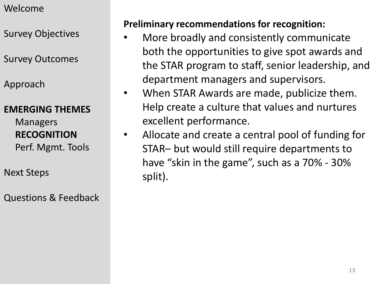Survey Objectives

Survey Outcomes

Approach

#### **EMERGING THEMES**

Managers **RECOGNITION** Perf. Mgmt. Tools

Next Steps

Questions & Feedback

#### **Preliminary recommendations for recognition:**

- More broadly and consistently communicate both the opportunities to give spot awards and the STAR program to staff, senior leadership, and department managers and supervisors.
- When STAR Awards are made, publicize them. Help create a culture that values and nurtures excellent performance.
- Allocate and create a central pool of funding for STAR– but would still require departments to have "skin in the game", such as a 70% - 30% split).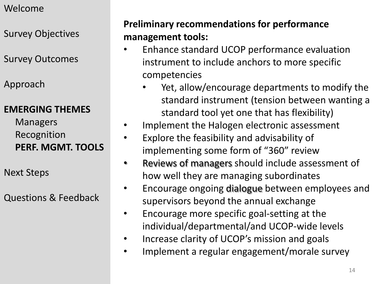Survey Objectives

Survey Outcomes

Approach

#### **EMERGING THEMES**

Managers Recognition **PERF. MGMT. TOOLS**

Next Steps

Questions & Feedback

#### **Preliminary recommendations for performance management tools:**

- Enhance standard UCOP performance evaluation instrument to include anchors to more specific competencies
	- Yet, allow/encourage departments to modify the standard instrument (tension between wanting a standard tool yet one that has flexibility)
- Implement the Halogen electronic assessment
- Explore the feasibility and advisability of implementing some form of "360" review
- Reviews of managers should include assessment of how well they are managing subordinates
- Encourage ongoing dialogue between employees and supervisors beyond the annual exchange
- Encourage more specific goal-setting at the individual/departmental/and UCOP-wide levels
- Increase clarity of UCOP's mission and goals
- Implement a regular engagement/morale survey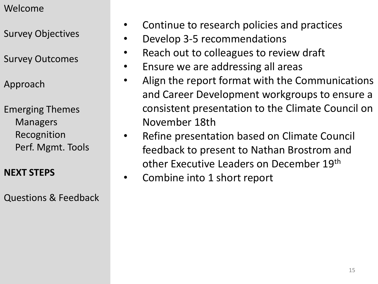Survey Objectives

Survey Outcomes

Approach

Emerging Themes Managers Recognition Perf. Mgmt. Tools

#### **NEXT STEPS**

Questions & Feedback

- Continue to research policies and practices
- Develop 3-5 recommendations
- Reach out to colleagues to review draft
- Ensure we are addressing all areas
- Align the report format with the Communications and Career Development workgroups to ensure a consistent presentation to the Climate Council on November 18th
- Refine presentation based on Climate Council feedback to present to Nathan Brostrom and other Executive Leaders on December 19th
- Combine into 1 short report